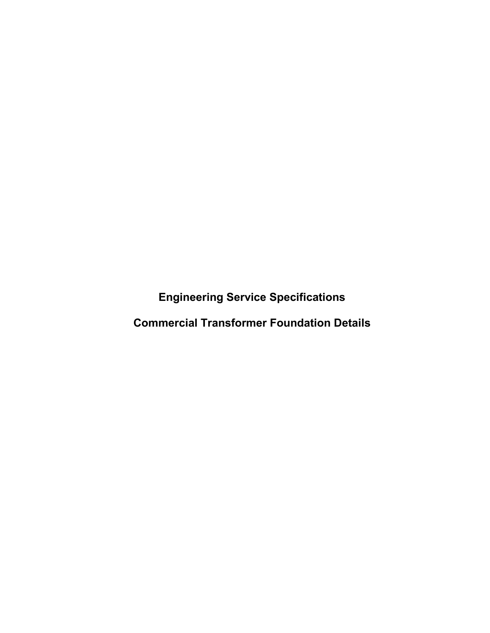**Engineering Service Specifications**

**Commercial Transformer Foundation Details**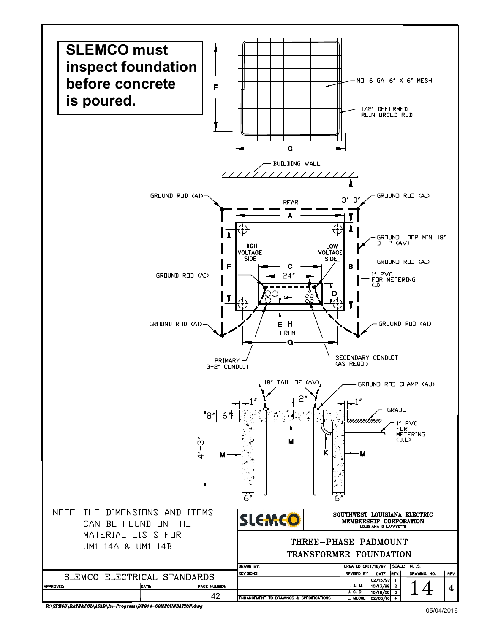

R:\SPECS\RATE&POL\ACAD\In-Progress\DWG14-COMFOUNDATION.dwg